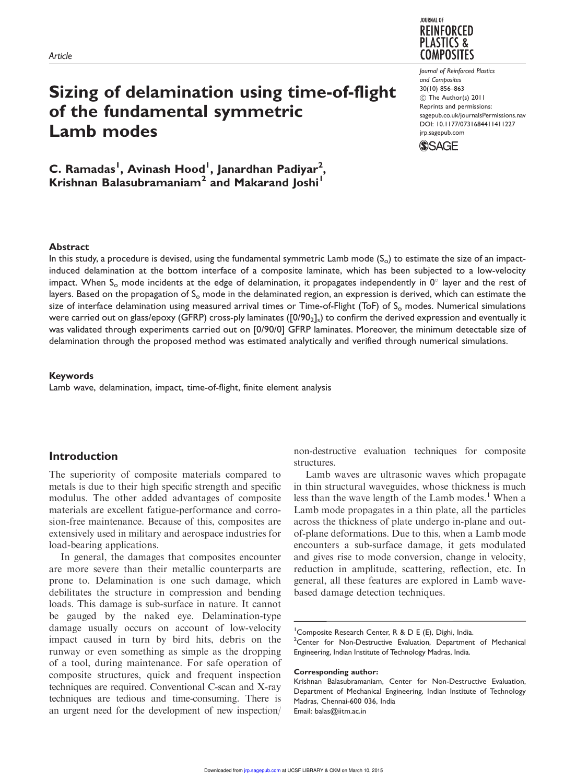

# Sizing of delamination using time-of-flight of the fundamental symmetric Lamb modes

C. Ramadas<sup>i</sup>, Avinash Hood<sup>i</sup>, Janardhan Padiyar<sup>2</sup>, Krishnan Balasubramaniam<sup>2</sup> and Makarand Joshi<sup>1</sup>

Journal of Reinforced Plastics and Composites 30(10) 856–863 ! The Author(s) 2011 Reprints and permissions: sagepub.co.uk/journalsPermissions.nav DOI: 10.1177/0731684411411227 jrp.sagepub.com



#### **Abstract**

In this study, a procedure is devised, using the fundamental symmetric Lamb mode  $(S_0)$  to estimate the size of an impactinduced delamination at the bottom interface of a composite laminate, which has been subjected to a low-velocity impact. When S<sub>o</sub> mode incidents at the edge of delamination, it propagates independently in 0 $^{\circ}$  layer and the rest of layers. Based on the propagation of  $S_0$  mode in the delaminated region, an expression is derived, which can estimate the size of interface delamination using measured arrival times or Time-of-Flight (ToF) of  $S_0$  modes. Numerical simulations were carried out on glass/epoxy (GFRP) cross-ply laminates ([0/90 $_2\!]_s$ ) to confirm the derived expression and eventually it was validated through experiments carried out on [0/90/0] GFRP laminates. Moreover, the minimum detectable size of delamination through the proposed method was estimated analytically and verified through numerical simulations.

#### Keywords

Lamb wave, delamination, impact, time-of-flight, finite element analysis

### Introduction

The superiority of composite materials compared to metals is due to their high specific strength and specific modulus. The other added advantages of composite materials are excellent fatigue-performance and corrosion-free maintenance. Because of this, composites are extensively used in military and aerospace industries for load-bearing applications.

In general, the damages that composites encounter are more severe than their metallic counterparts are prone to. Delamination is one such damage, which debilitates the structure in compression and bending loads. This damage is sub-surface in nature. It cannot be gauged by the naked eye. Delamination-type damage usually occurs on account of low-velocity impact caused in turn by bird hits, debris on the runway or even something as simple as the dropping of a tool, during maintenance. For safe operation of composite structures, quick and frequent inspection techniques are required. Conventional C-scan and X-ray techniques are tedious and time-consuming. There is an urgent need for the development of new inspection/

non-destructive evaluation techniques for composite **structures** 

Lamb waves are ultrasonic waves which propagate in thin structural waveguides, whose thickness is much less than the wave length of the Lamb modes.<sup>1</sup> When a Lamb mode propagates in a thin plate, all the particles across the thickness of plate undergo in-plane and outof-plane deformations. Due to this, when a Lamb mode encounters a sub-surface damage, it gets modulated and gives rise to mode conversion, change in velocity, reduction in amplitude, scattering, reflection, etc. In general, all these features are explored in Lamb wavebased damage detection techniques.

#### Corresponding author:

<sup>&</sup>lt;sup>1</sup> Composite Research Center, R & D E (E), Dighi, India.

<sup>&</sup>lt;sup>2</sup>Center for Non-Destructive Evaluation, Department of Mechanical Engineering, Indian Institute of Technology Madras, India.

Krishnan Balasubramaniam, Center for Non-Destructive Evaluation, Department of Mechanical Engineering, Indian Institute of Technology Madras, Chennai-600 036, India Email: balas@iitm.ac.in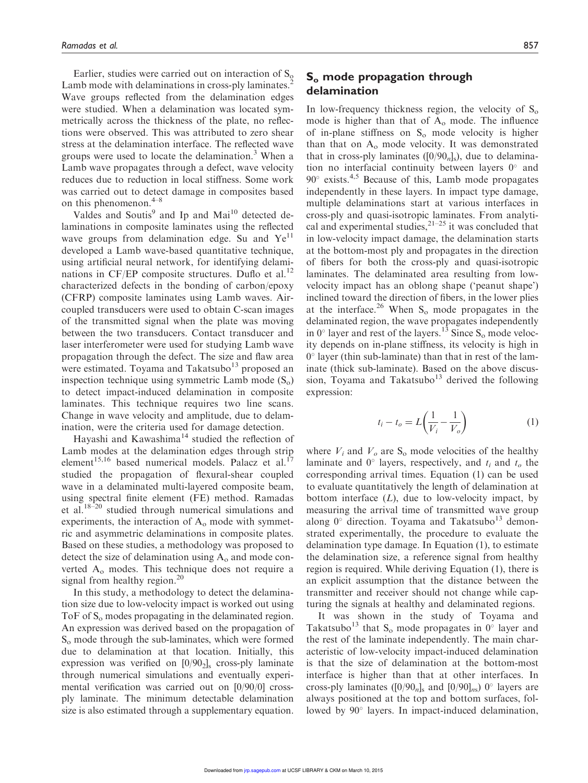Earlier, studies were carried out on interaction of  $S_0$ Lamb mode with delaminations in cross-ply laminates.<sup>2</sup> Wave groups reflected from the delamination edges were studied. When a delamination was located symmetrically across the thickness of the plate, no reflections were observed. This was attributed to zero shear stress at the delamination interface. The reflected wave groups were used to locate the delamination. $3$  When a Lamb wave propagates through a defect, wave velocity reduces due to reduction in local stiffness. Some work was carried out to detect damage in composites based on this phenomenon.<sup>4–8</sup>

Valdes and Soutis<sup>9</sup> and Ip and Mai<sup>10</sup> detected delaminations in composite laminates using the reflected wave groups from delamination edge. Su and  $Ye^{11}$ developed a Lamb wave-based quantitative technique, using artificial neural network, for identifying delaminations in  $CF/EP$  composite structures. Duflo et al.<sup>12</sup> characterized defects in the bonding of carbon/epoxy (CFRP) composite laminates using Lamb waves. Aircoupled transducers were used to obtain C-scan images of the transmitted signal when the plate was moving between the two transducers. Contact transducer and laser interferometer were used for studying Lamb wave propagation through the defect. The size and flaw area were estimated. Toyama and Takatsubo $13$  proposed an inspection technique using symmetric Lamb mode  $(S_0)$ to detect impact-induced delamination in composite laminates. This technique requires two line scans. Change in wave velocity and amplitude, due to delamination, were the criteria used for damage detection.

Hayashi and Kawashima<sup>14</sup> studied the reflection of Lamb modes at the delamination edges through strip element<sup>15,16</sup> based numerical models. Palacz et al.<sup>17</sup> studied the propagation of flexural-shear coupled wave in a delaminated multi-layered composite beam, using spectral finite element (FE) method. Ramadas et al. $18-20$  studied through numerical simulations and experiments, the interaction of  $A_0$  mode with symmetric and asymmetric delaminations in composite plates. Based on these studies, a methodology was proposed to detect the size of delamination using  $A_0$  and mode converted A<sup>o</sup> modes. This technique does not require a signal from healthy region.<sup>20</sup>

In this study, a methodology to detect the delamination size due to low-velocity impact is worked out using ToF of  $S<sub>o</sub>$  modes propagating in the delaminated region. An expression was derived based on the propagation of S<sub>o</sub> mode through the sub-laminates, which were formed due to delamination at that location. Initially, this expression was verified on  $[0/90<sub>2</sub>]$  cross-ply laminate through numerical simulations and eventually experimental verification was carried out on [0/90/0] crossply laminate. The minimum detectable delamination size is also estimated through a supplementary equation.

## S<sub>o</sub> mode propagation through delamination

In low-frequency thickness region, the velocity of  $S_0$ mode is higher than that of  $A_0$  mode. The influence of in-plane stiffness on  $S_0$  mode velocity is higher than that on  $A_0$  mode velocity. It was demonstrated that in cross-ply laminates  $([0/90<sub>n</sub>]<sub>s</sub>)$ , due to delamination no interfacial continuity between layers  $0^{\circ}$  and  $90^\circ$  exists.<sup>4,5</sup> Because of this, Lamb mode propagates independently in these layers. In impact type damage, multiple delaminations start at various interfaces in cross-ply and quasi-isotropic laminates. From analytical and experimental studies, $2^{1-25}$  it was concluded that in low-velocity impact damage, the delamination starts at the bottom-most ply and propagates in the direction of fibers for both the cross-ply and quasi-isotropic laminates. The delaminated area resulting from lowvelocity impact has an oblong shape ('peanut shape') inclined toward the direction of fibers, in the lower plies at the interface.<sup>26</sup> When  $S_0$  mode propagates in the delaminated region, the wave propagates independently in  $0^\circ$  layer and rest of the layers.<sup>13</sup> Since S<sub>o</sub> mode velocity depends on in-plane stiffness, its velocity is high in 0° layer (thin sub-laminate) than that in rest of the laminate (thick sub-laminate). Based on the above discussion, Toyama and Takatsubo $13$  derived the following expression:

$$
t_i - t_o = L\left(\frac{1}{V_i} - \frac{1}{V_o}\right) \tag{1}
$$

where  $V_i$  and  $V_o$  are  $S_o$  mode velocities of the healthy laminate and  $0^{\circ}$  layers, respectively, and  $t_i$  and  $t_o$  the corresponding arrival times. Equation (1) can be used to evaluate quantitatively the length of delamination at bottom interface  $(L)$ , due to low-velocity impact, by measuring the arrival time of transmitted wave group along 0° direction. Toyama and Takatsubo<sup>13</sup> demonstrated experimentally, the procedure to evaluate the delamination type damage. In Equation (1), to estimate the delamination size, a reference signal from healthy region is required. While deriving Equation (1), there is an explicit assumption that the distance between the transmitter and receiver should not change while capturing the signals at healthy and delaminated regions.

It was shown in the study of Toyama and Takatsubo<sup>13</sup> that S<sub>o</sub> mode propagates in  $0^{\circ}$  layer and the rest of the laminate independently. The main characteristic of low-velocity impact-induced delamination is that the size of delamination at the bottom-most interface is higher than that at other interfaces. In cross-ply laminates  $([0/90<sub>n</sub>]<sub>s</sub>$  and  $[0/90]<sub>ns</sub>$  0° layers are always positioned at the top and bottom surfaces, followed by 90° layers. In impact-induced delamination,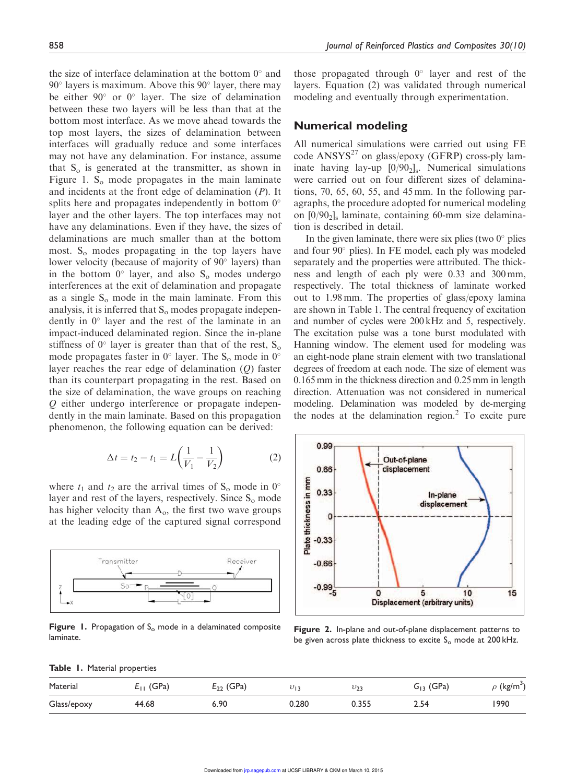the size of interface delamination at the bottom  $0^{\circ}$  and 90° layers is maximum. Above this 90° layer, there may be either  $90^{\circ}$  or  $0^{\circ}$  layer. The size of delamination between these two layers will be less than that at the bottom most interface. As we move ahead towards the top most layers, the sizes of delamination between interfaces will gradually reduce and some interfaces may not have any delamination. For instance, assume that  $S_0$  is generated at the transmitter, as shown in Figure 1.  $S<sub>o</sub>$  mode propagates in the main laminate and incidents at the front edge of delamination  $(P)$ . It splits here and propagates independently in bottom  $0^{\circ}$ layer and the other layers. The top interfaces may not have any delaminations. Even if they have, the sizes of delaminations are much smaller than at the bottom most.  $S_0$  modes propagating in the top layers have lower velocity (because of majority of 90° layers) than in the bottom  $0^{\circ}$  layer, and also  $S_0$  modes undergo interferences at the exit of delamination and propagate as a single  $S_0$  mode in the main laminate. From this analysis, it is inferred that  $S_0$  modes propagate independently in  $0^{\circ}$  layer and the rest of the laminate in an impact-induced delaminated region. Since the in-plane stiffness of  $0^{\circ}$  layer is greater than that of the rest,  $S_0$ mode propagates faster in  $0^{\circ}$  layer. The S<sub>o</sub> mode in  $0^{\circ}$ layer reaches the rear edge of delamination (Q) faster than its counterpart propagating in the rest. Based on the size of delamination, the wave groups on reaching Q either undergo interference or propagate independently in the main laminate. Based on this propagation phenomenon, the following equation can be derived:

$$
\Delta t = t_2 - t_1 = L \left( \frac{1}{V_1} - \frac{1}{V_2} \right) \tag{2}
$$

where  $t_1$  and  $t_2$  are the arrival times of  $S_0$  mode in  $0^\circ$ layer and rest of the layers, respectively. Since  $S_0$  mode has higher velocity than  $A_0$ , the first two wave groups at the leading edge of the captured signal correspond



Figure 1. Propagation of  $S<sub>o</sub>$  mode in a delaminated composite laminate.

those propagated through  $0^\circ$  layer and rest of the layers. Equation (2) was validated through numerical modeling and eventually through experimentation.

#### Numerical modeling

All numerical simulations were carried out using FE code  $ANSYS<sup>27</sup>$  on glass/epoxy (GFRP) cross-ply laminate having lay-up  $[0/90<sub>2</sub>]$ , Numerical simulations were carried out on four different sizes of delaminations, 70, 65, 60, 55, and 45 mm. In the following paragraphs, the procedure adopted for numerical modeling on  $[0/90<sub>2</sub>]$  laminate, containing 60-mm size delamination is described in detail.

In the given laminate, there were six plies (two  $0^{\circ}$  plies and four 90° plies). In FE model, each ply was modeled separately and the properties were attributed. The thickness and length of each ply were 0.33 and 300 mm, respectively. The total thickness of laminate worked out to 1.98 mm. The properties of glass/epoxy lamina are shown in Table 1. The central frequency of excitation and number of cycles were 200 kHz and 5, respectively. The excitation pulse was a tone burst modulated with Hanning window. The element used for modeling was an eight-node plane strain element with two translational degrees of freedom at each node. The size of element was 0.165 mm in the thickness direction and 0.25 mm in length direction. Attenuation was not considered in numerical modeling. Delamination was modeled by de-merging the nodes at the delamination region. $<sup>2</sup>$  To excite pure</sup>



Figure 2. In-plane and out-of-plane displacement patterns to be given across plate thickness to excite  $S<sub>o</sub>$  mode at 200 kHz.

|  |  |  | Table 1. Material properties |
|--|--|--|------------------------------|
|--|--|--|------------------------------|

| Material    | (GPa)<br>$E_{\perp}$ | $E_{22}$ (GPa) | บาง   | $v_{23}$ | $G_{13}$ (GPa) | $\rho$ (kg/m <sup>3</sup> ) |
|-------------|----------------------|----------------|-------|----------|----------------|-----------------------------|
| Glass/epoxy | 44.68                | 6.90           | 0.280 | 0.355    | 2.54           | 1990                        |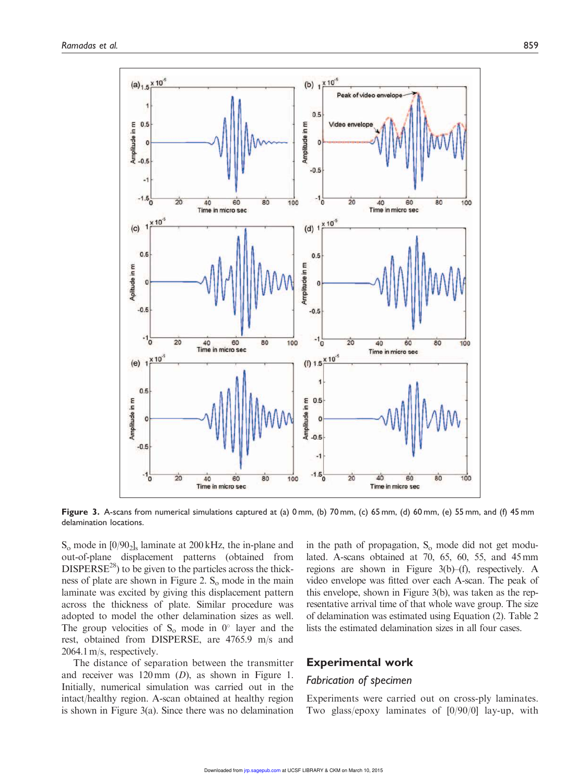

Figure 3. A-scans from numerical simulations captured at (a) 0 mm, (b) 70 mm, (c) 65 mm, (d) 60 mm, (e) 55 mm, and (f) 45 mm delamination locations.

 $S_0$  mode in  $[0/90_2]_s$  laminate at 200 kHz, the in-plane and out-of-plane displacement patterns (obtained from  $DISPERSE<sup>28</sup>$  to be given to the particles across the thickness of plate are shown in Figure 2.  $S_0$  mode in the main laminate was excited by giving this displacement pattern across the thickness of plate. Similar procedure was adopted to model the other delamination sizes as well. The group velocities of  $S_0$  mode in  $0^\circ$  layer and the rest, obtained from DISPERSE, are 4765.9 m/s and 2064.1 m/s, respectively.

The distance of separation between the transmitter and receiver was 120 mm (D), as shown in Figure 1. Initially, numerical simulation was carried out in the intact/healthy region. A-scan obtained at healthy region is shown in Figure 3(a). Since there was no delamination

in the path of propagation,  $S<sub>o</sub>$  mode did not get modulated. A-scans obtained at 70, 65, 60, 55, and 45 mm regions are shown in Figure 3(b)–(f), respectively. A video envelope was fitted over each A-scan. The peak of this envelope, shown in Figure 3(b), was taken as the representative arrival time of that whole wave group. The size of delamination was estimated using Equation (2). Table 2 lists the estimated delamination sizes in all four cases.

#### Experimental work

#### Fabrication of specimen

Experiments were carried out on cross-ply laminates. Two glass/epoxy laminates of [0/90/0] lay-up, with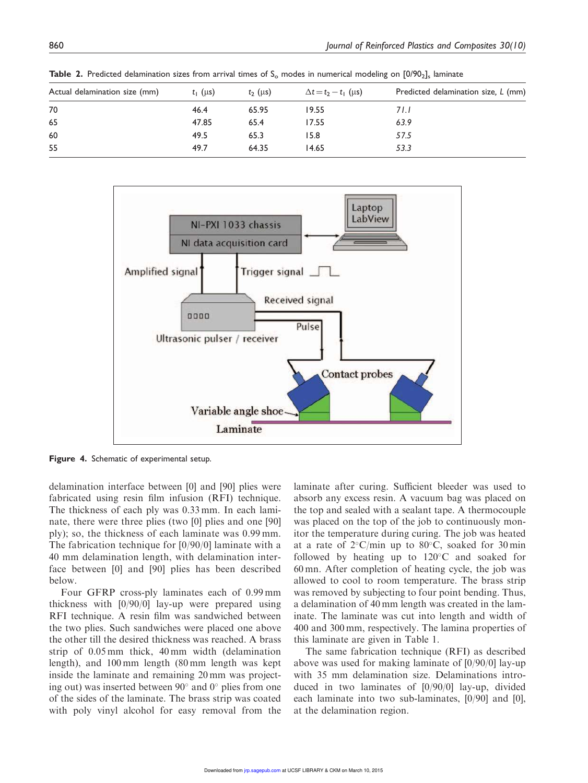| Actual delamination size (mm) | $t_1$ (µs) | $t_2$ (µs) | $\Delta t = t_2 - t_1$ (µs) | Predicted delamination size, L (mm) |
|-------------------------------|------------|------------|-----------------------------|-------------------------------------|
| 70                            | 46.4       | 65.95      | 19.55                       | 71.I                                |
| 65                            | 47.85      | 65.4       | 17.55                       | 63.9                                |
| 60                            | 49.5       | 65.3       | 15.8                        | 57.5                                |
| 55                            | 49.7       | 64.35      | 14.65                       | 53.3                                |

**Table 2.** Predicted delamination sizes from arrival times of S<sub>o</sub> modes in numerical modeling on [0/90<sub>2</sub>]<sub>s</sub> laminate



Figure 4. Schematic of experimental setup.

delamination interface between [0] and [90] plies were fabricated using resin film infusion (RFI) technique. The thickness of each ply was 0.33 mm. In each laminate, there were three plies (two [0] plies and one [90] ply); so, the thickness of each laminate was 0.99 mm. The fabrication technique for [0/90/0] laminate with a 40 mm delamination length, with delamination interface between [0] and [90] plies has been described below.

Four GFRP cross-ply laminates each of 0.99 mm thickness with [0/90/0] lay-up were prepared using RFI technique. A resin film was sandwiched between the two plies. Such sandwiches were placed one above the other till the desired thickness was reached. A brass strip of 0.05 mm thick, 40 mm width (delamination length), and 100 mm length (80 mm length was kept inside the laminate and remaining 20 mm was projecting out) was inserted between  $90^{\circ}$  and  $0^{\circ}$  plies from one of the sides of the laminate. The brass strip was coated with poly vinyl alcohol for easy removal from the laminate after curing. Sufficient bleeder was used to absorb any excess resin. A vacuum bag was placed on the top and sealed with a sealant tape. A thermocouple was placed on the top of the job to continuously monitor the temperature during curing. The job was heated at a rate of  $2^{\circ}$ C/min up to 80 $^{\circ}$ C, soaked for 30 min followed by heating up to  $120^{\circ}$ C and soaked for 60 mn. After completion of heating cycle, the job was allowed to cool to room temperature. The brass strip was removed by subjecting to four point bending. Thus, a delamination of 40 mm length was created in the laminate. The laminate was cut into length and width of 400 and 300 mm, respectively. The lamina properties of this laminate are given in Table 1.

The same fabrication technique (RFI) as described above was used for making laminate of [0/90/0] lay-up with 35 mm delamination size. Delaminations introduced in two laminates of [0/90/0] lay-up, divided each laminate into two sub-laminates, [0/90] and [0], at the delamination region.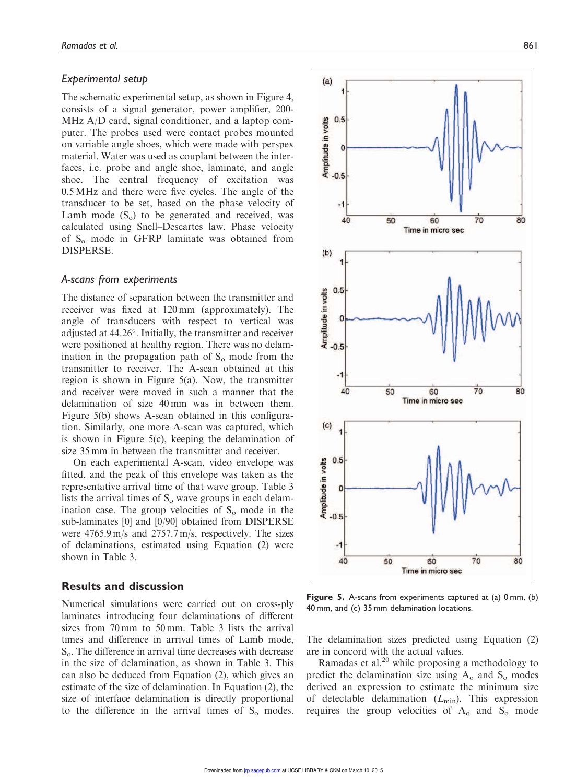#### Experimental setup

The schematic experimental setup, as shown in Figure 4, consists of a signal generator, power amplifier, 200- MHz A/D card, signal conditioner, and a laptop computer. The probes used were contact probes mounted on variable angle shoes, which were made with perspex material. Water was used as couplant between the interfaces, i.e. probe and angle shoe, laminate, and angle shoe. The central frequency of excitation was 0.5 MHz and there were five cycles. The angle of the transducer to be set, based on the phase velocity of Lamb mode  $(S_0)$  to be generated and received, was calculated using Snell–Descartes law. Phase velocity of S<sub>o</sub> mode in GFRP laminate was obtained from DISPERSE.

#### A-scans from experiments

The distance of separation between the transmitter and receiver was fixed at 120 mm (approximately). The angle of transducers with respect to vertical was adjusted at 44.26°. Initially, the transmitter and receiver were positioned at healthy region. There was no delamination in the propagation path of  $S_0$  mode from the transmitter to receiver. The A-scan obtained at this region is shown in Figure 5(a). Now, the transmitter and receiver were moved in such a manner that the delamination of size 40 mm was in between them. Figure 5(b) shows A-scan obtained in this configuration. Similarly, one more A-scan was captured, which is shown in Figure 5(c), keeping the delamination of size 35 mm in between the transmitter and receiver.

On each experimental A-scan, video envelope was fitted, and the peak of this envelope was taken as the representative arrival time of that wave group. Table 3 lists the arrival times of  $S_0$  wave groups in each delamination case. The group velocities of  $S_0$  mode in the sub-laminates [0] and [0/90] obtained from DISPERSE were 4765.9 m/s and 2757.7 m/s, respectively. The sizes of delaminations, estimated using Equation (2) were shown in Table 3.

#### Results and discussion

Numerical simulations were carried out on cross-ply laminates introducing four delaminations of different sizes from 70 mm to 50 mm. Table 3 lists the arrival times and difference in arrival times of Lamb mode, So. The difference in arrival time decreases with decrease in the size of delamination, as shown in Table 3. This can also be deduced from Equation (2), which gives an estimate of the size of delamination. In Equation (2), the size of interface delamination is directly proportional to the difference in the arrival times of  $S_0$  modes.



Figure 5. A-scans from experiments captured at (a) 0 mm, (b) 40 mm, and (c) 35 mm delamination locations.

The delamination sizes predicted using Equation (2) are in concord with the actual values.

Ramadas et al. $20$  while proposing a methodology to predict the delamination size using  $A_0$  and  $S_0$  modes derived an expression to estimate the minimum size of detectable delamination  $(L_{\text{min}})$ . This expression requires the group velocities of  $A_0$  and  $S_0$  mode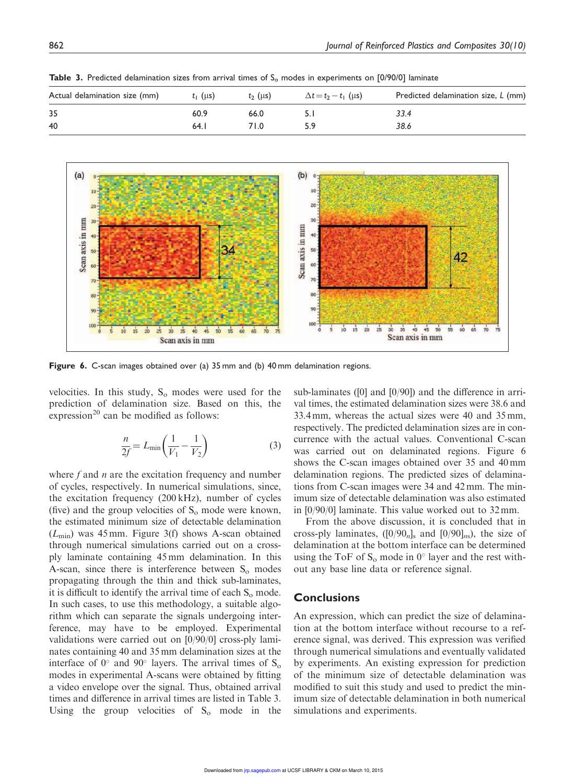| $t_1$ ( $\mu s$ ) | $t_2$ ( $\mu$ s) | $\Delta t = t_2 - t_1$ (µs) | Predicted delamination size, L (mm) |
|-------------------|------------------|-----------------------------|-------------------------------------|
| 60.9              | 66.0             |                             | 33.4                                |
| 64. I             | 71.0             |                             | 38.6                                |
|                   |                  |                             |                                     |

**Table 3.** Predicted delamination sizes from arrival times of  $S_0$  modes in experiments on [0/90/0] laminate



Figure 6. C-scan images obtained over (a) 35 mm and (b) 40 mm delamination regions.

velocities. In this study,  $S_0$  modes were used for the prediction of delamination size. Based on this, the expression<sup>20</sup> can be modified as follows:

$$
\frac{n}{2f} = L_{\min}\left(\frac{1}{V_1} - \frac{1}{V_2}\right) \tag{3}
$$

where f and  $n$  are the excitation frequency and number of cycles, respectively. In numerical simulations, since, the excitation frequency (200 kHz), number of cycles (five) and the group velocities of  $S_0$  mode were known, the estimated minimum size of detectable delamination  $(L_{\text{min}})$  was 45 mm. Figure 3(f) shows A-scan obtained through numerical simulations carried out on a crossply laminate containing 45 mm delamination. In this A-scan, since there is interference between  $S_0$  modes propagating through the thin and thick sub-laminates, it is difficult to identify the arrival time of each  $S_0$  mode. In such cases, to use this methodology, a suitable algorithm which can separate the signals undergoing interference, may have to be employed. Experimental validations were carried out on [0/90/0] cross-ply laminates containing 40 and 35 mm delamination sizes at the interface of  $0^{\circ}$  and  $90^{\circ}$  layers. The arrival times of  $S_0$ modes in experimental A-scans were obtained by fitting a video envelope over the signal. Thus, obtained arrival times and difference in arrival times are listed in Table 3. Using the group velocities of  $S_0$  mode in the sub-laminates ([0] and [0/90]) and the difference in arrival times, the estimated delamination sizes were 38.6 and 33.4 mm, whereas the actual sizes were 40 and 35 mm, respectively. The predicted delamination sizes are in concurrence with the actual values. Conventional C-scan was carried out on delaminated regions. Figure 6 shows the C-scan images obtained over 35 and 40 mm delamination regions. The predicted sizes of delaminations from C-scan images were 34 and 42 mm. The minimum size of detectable delamination was also estimated in [0/90/0] laminate. This value worked out to 32 mm.

From the above discussion, it is concluded that in cross-ply laminates,  $([0/90<sub>n</sub>]<sub>s</sub>$  and  $[0/90]<sub>ns</sub>$ ), the size of delamination at the bottom interface can be determined using the ToF of  $S_0$  mode in  $0^\circ$  layer and the rest without any base line data or reference signal.

### **Conclusions**

An expression, which can predict the size of delamination at the bottom interface without recourse to a reference signal, was derived. This expression was verified through numerical simulations and eventually validated by experiments. An existing expression for prediction of the minimum size of detectable delamination was modified to suit this study and used to predict the minimum size of detectable delamination in both numerical simulations and experiments.